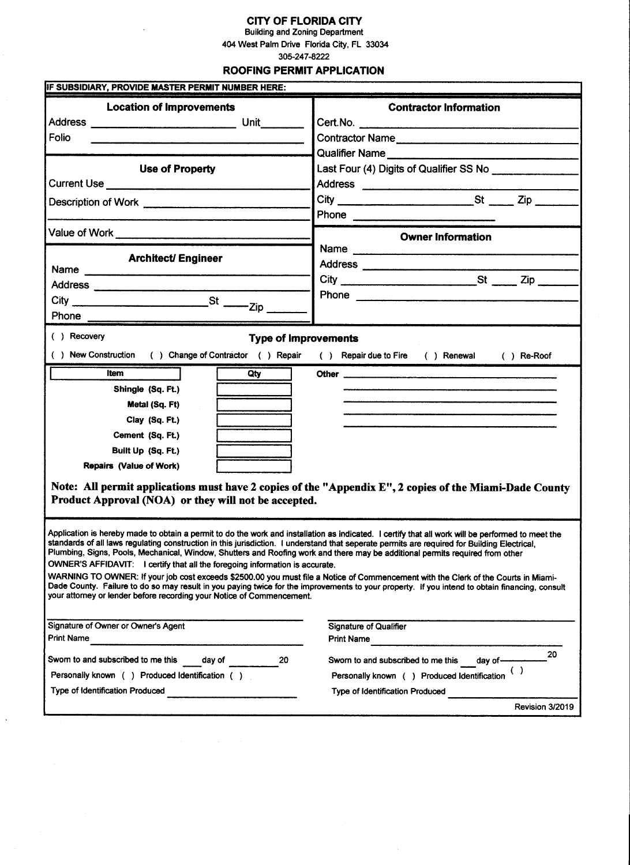## CITY OF FLORIDA CITY

Building and Zoning Department 404 West Palm Drive Florida City, FL 33034

305-247-8222

#### ROOFING PERMIT APPLICATION

| IF SUBSIDIARY, PROVIDE MASTER PERMIT NUMBER HERE:                                                                                                                                                                                                                                                                                                                                                                                                                                                                                                                                                                                                                                                                                                                                                         |                                                                                                                                                |
|-----------------------------------------------------------------------------------------------------------------------------------------------------------------------------------------------------------------------------------------------------------------------------------------------------------------------------------------------------------------------------------------------------------------------------------------------------------------------------------------------------------------------------------------------------------------------------------------------------------------------------------------------------------------------------------------------------------------------------------------------------------------------------------------------------------|------------------------------------------------------------------------------------------------------------------------------------------------|
| <b>Location of Improvements</b>                                                                                                                                                                                                                                                                                                                                                                                                                                                                                                                                                                                                                                                                                                                                                                           | <b>Contractor Information</b><br>Cert. No. 2008 2010 12:00:00 12:00:00 12:00:00 12:00:00 12:00:00 12:00:00 12:00:00 12:00:00 12:00:00 12:00:00 |
| Folio                                                                                                                                                                                                                                                                                                                                                                                                                                                                                                                                                                                                                                                                                                                                                                                                     | Contractor Name                                                                                                                                |
|                                                                                                                                                                                                                                                                                                                                                                                                                                                                                                                                                                                                                                                                                                                                                                                                           |                                                                                                                                                |
| <b>Use of Property</b>                                                                                                                                                                                                                                                                                                                                                                                                                                                                                                                                                                                                                                                                                                                                                                                    | Last Four (4) Digits of Qualifier SS No                                                                                                        |
|                                                                                                                                                                                                                                                                                                                                                                                                                                                                                                                                                                                                                                                                                                                                                                                                           | Address ________________________                                                                                                               |
|                                                                                                                                                                                                                                                                                                                                                                                                                                                                                                                                                                                                                                                                                                                                                                                                           |                                                                                                                                                |
|                                                                                                                                                                                                                                                                                                                                                                                                                                                                                                                                                                                                                                                                                                                                                                                                           |                                                                                                                                                |
|                                                                                                                                                                                                                                                                                                                                                                                                                                                                                                                                                                                                                                                                                                                                                                                                           | <b>Owner Information</b>                                                                                                                       |
|                                                                                                                                                                                                                                                                                                                                                                                                                                                                                                                                                                                                                                                                                                                                                                                                           | Name                                                                                                                                           |
| <b>Architect/ Engineer</b><br>Name                                                                                                                                                                                                                                                                                                                                                                                                                                                                                                                                                                                                                                                                                                                                                                        |                                                                                                                                                |
|                                                                                                                                                                                                                                                                                                                                                                                                                                                                                                                                                                                                                                                                                                                                                                                                           | $City$ $St$ $Zip$ $Zip$                                                                                                                        |
| $\mathsf{City} \xrightarrow{\qquad \qquad } \mathsf{St} \xrightarrow{\qquad \qquad } \mathsf{Zip} \xrightarrow{\qquad \qquad }$                                                                                                                                                                                                                                                                                                                                                                                                                                                                                                                                                                                                                                                                           |                                                                                                                                                |
|                                                                                                                                                                                                                                                                                                                                                                                                                                                                                                                                                                                                                                                                                                                                                                                                           |                                                                                                                                                |
| Phone                                                                                                                                                                                                                                                                                                                                                                                                                                                                                                                                                                                                                                                                                                                                                                                                     |                                                                                                                                                |
| ( ) Recovery<br><b>Type of Improvements</b>                                                                                                                                                                                                                                                                                                                                                                                                                                                                                                                                                                                                                                                                                                                                                               |                                                                                                                                                |
| () New Construction () Change of Contractor () Repair () Repair due to Fire () Renewal () Re-Roof                                                                                                                                                                                                                                                                                                                                                                                                                                                                                                                                                                                                                                                                                                         |                                                                                                                                                |
| <b>Item</b><br>Qty                                                                                                                                                                                                                                                                                                                                                                                                                                                                                                                                                                                                                                                                                                                                                                                        |                                                                                                                                                |
| Shingle (Sq. Ft.)                                                                                                                                                                                                                                                                                                                                                                                                                                                                                                                                                                                                                                                                                                                                                                                         |                                                                                                                                                |
| Metal (Sq. Ft)                                                                                                                                                                                                                                                                                                                                                                                                                                                                                                                                                                                                                                                                                                                                                                                            |                                                                                                                                                |
| Clay (Sq. Ft.)                                                                                                                                                                                                                                                                                                                                                                                                                                                                                                                                                                                                                                                                                                                                                                                            |                                                                                                                                                |
| Cement (Sq. Ft.)                                                                                                                                                                                                                                                                                                                                                                                                                                                                                                                                                                                                                                                                                                                                                                                          |                                                                                                                                                |
| Built Up (Sq. Ft.)                                                                                                                                                                                                                                                                                                                                                                                                                                                                                                                                                                                                                                                                                                                                                                                        |                                                                                                                                                |
| <b>Repairs (Value of Work)</b>                                                                                                                                                                                                                                                                                                                                                                                                                                                                                                                                                                                                                                                                                                                                                                            |                                                                                                                                                |
| Product Approval (NOA) or they will not be accepted.                                                                                                                                                                                                                                                                                                                                                                                                                                                                                                                                                                                                                                                                                                                                                      | Note: All permit applications must have 2 copies of the "Appendix E", 2 copies of the Miami-Dade County                                        |
| Application is hereby made to obtain a permit to do the work and installation as indicated. I certify that all work will be performed to meet the<br>standards of all laws regulating construction in this jurisdiction. Tunderstand that seperate permits are required for Building Electrical,<br>Plumbing, Signs, Pools, Mechanical, Window, Shutters and Roofing work and there may be additional permits required from other<br>OWNER'S AFFIDAVIT: I certify that all the foregoing information is accurate.<br>WARNING TO OWNER: If your job cost exceeds \$2500.00 you must file a Notice of Commencement with the Clerk of the Courts in Miami-<br>Dade County. Failure to do so may result in you paying twice for the improvements to your property. If you intend to obtain financing, consult |                                                                                                                                                |
| your attorney or lender before recording your Notice of Commencement.                                                                                                                                                                                                                                                                                                                                                                                                                                                                                                                                                                                                                                                                                                                                     |                                                                                                                                                |
| Signature of Owner or Owner's Agent<br>Print Name                                                                                                                                                                                                                                                                                                                                                                                                                                                                                                                                                                                                                                                                                                                                                         | <b>Signature of Qualifier</b><br><b>Print Name</b>                                                                                             |
|                                                                                                                                                                                                                                                                                                                                                                                                                                                                                                                                                                                                                                                                                                                                                                                                           | 20                                                                                                                                             |
| Swom to and subscribed to me this<br>day of<br>20                                                                                                                                                                                                                                                                                                                                                                                                                                                                                                                                                                                                                                                                                                                                                         | Sworn to and subscribed to me this<br>day of -                                                                                                 |
| Personally known () Produced Identification ()                                                                                                                                                                                                                                                                                                                                                                                                                                                                                                                                                                                                                                                                                                                                                            | ( )<br>Personally known ( ) Produced Identification                                                                                            |
| Type of Identification Produced                                                                                                                                                                                                                                                                                                                                                                                                                                                                                                                                                                                                                                                                                                                                                                           | Type of Identification Produced                                                                                                                |
|                                                                                                                                                                                                                                                                                                                                                                                                                                                                                                                                                                                                                                                                                                                                                                                                           | Revision 3/2019                                                                                                                                |

 $\hat{f}$  ,  $\hat{f}$  ,  $\hat{f}$  ,  $\hat{f}$ 

 $\bar{\star}$ 

 $\bar{\zeta}$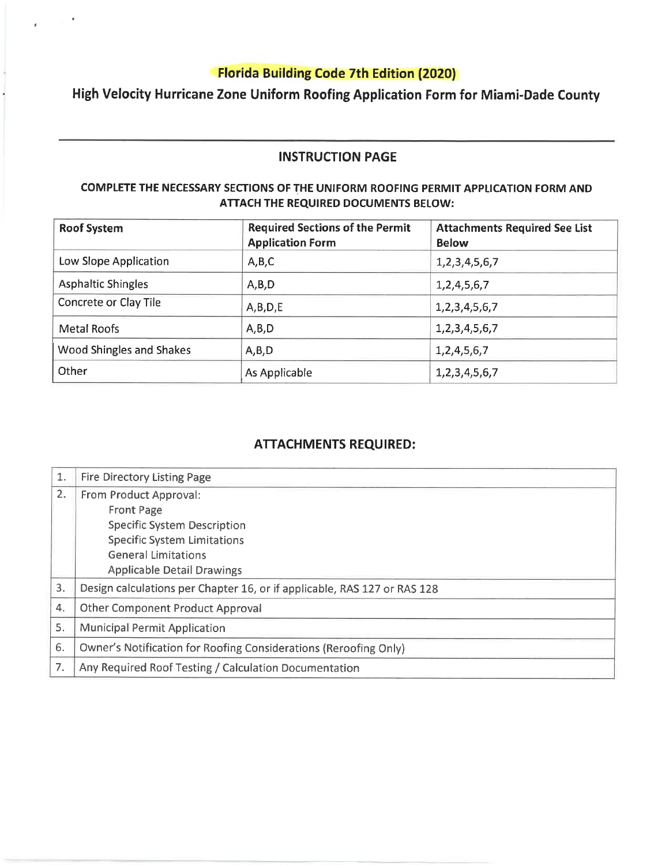High Velocity Hurricane Zone Uniform Roofing Application Form for Miami-Dade County

### **INSTRUCTION PAGE**

### COMPLETE THE NECESSARY SECTIONS OF THE UNIFORM ROOFING PERMIT APPLICATION FORM AND ATTACH THE REQUIRED DOCUMENTS BELOW:

| <b>Roof System</b>        | <b>Required Sections of the Permit</b><br><b>Application Form</b> | <b>Attachments Required See List</b><br><b>Below</b> |  |
|---------------------------|-------------------------------------------------------------------|------------------------------------------------------|--|
| Low Slope Application     | A, B, C                                                           | 1, 2, 3, 4, 5, 6, 7                                  |  |
| <b>Asphaltic Shingles</b> | A, B, D                                                           | 1,2,4,5,6,7                                          |  |
| Concrete or Clay Tile     | A,B,D,E                                                           | 1, 2, 3, 4, 5, 6, 7                                  |  |
| Metal Roofs               | A, B, D                                                           | 1, 2, 3, 4, 5, 6, 7                                  |  |
| Wood Shingles and Shakes  | A,B,D                                                             | 1, 2, 4, 5, 6, 7                                     |  |
| Other                     | As Applicable                                                     | 1, 2, 3, 4, 5, 6, 7                                  |  |

## **ATTACHMENTS REQUIRED:**

| 1. | <b>Fire Directory Listing Page</b>                                       |
|----|--------------------------------------------------------------------------|
| 2. | From Product Approval:                                                   |
|    | <b>Front Page</b>                                                        |
|    | <b>Specific System Description</b>                                       |
|    | <b>Specific System Limitations</b>                                       |
|    | <b>General Limitations</b>                                               |
|    | <b>Applicable Detail Drawings</b>                                        |
| 3. | Design calculations per Chapter 16, or if applicable, RAS 127 or RAS 128 |
| 4. | <b>Other Component Product Approval</b>                                  |
| 5. | <b>Municipal Permit Application</b>                                      |
| 6. | Owner's Notification for Roofing Considerations (Reroofing Only)         |
| 7. | Any Required Roof Testing / Calculation Documentation                    |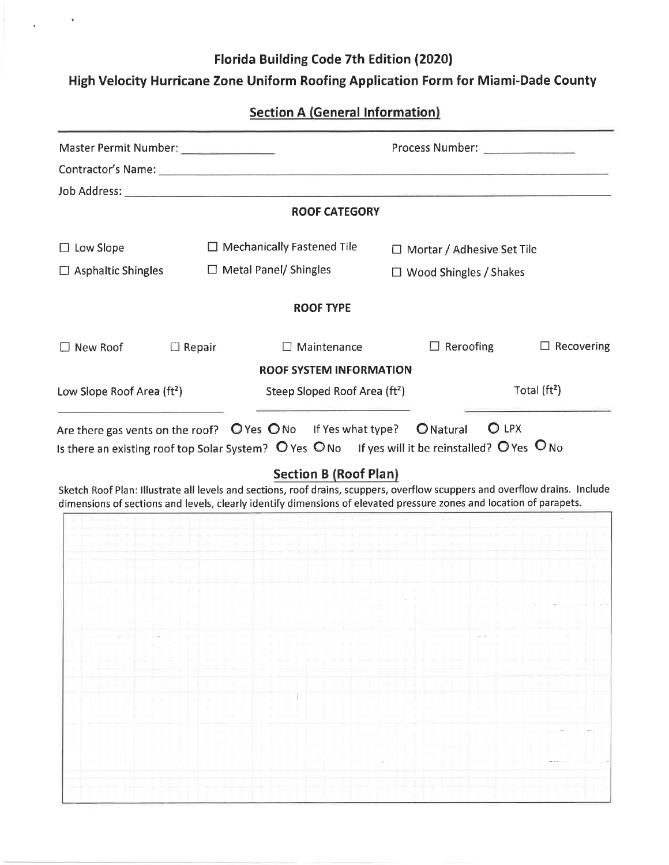## High Velocity Hurricane Zone Uniform Roofing Application Form for Miami-Dade County

**Section A (General Information)** 

|                                        | Process Number: ______________<br>Master Permit Number: _____________ |                                                                                                                                                                                                                                                    |                                   |                               |  |  |
|----------------------------------------|-----------------------------------------------------------------------|----------------------------------------------------------------------------------------------------------------------------------------------------------------------------------------------------------------------------------------------------|-----------------------------------|-------------------------------|--|--|
|                                        |                                                                       |                                                                                                                                                                                                                                                    |                                   |                               |  |  |
|                                        |                                                                       |                                                                                                                                                                                                                                                    |                                   |                               |  |  |
|                                        |                                                                       | <b>ROOF CATEGORY</b>                                                                                                                                                                                                                               |                                   |                               |  |  |
| $\Box$ Low Slope                       |                                                                       | $\Box$ Mechanically Fastened Tile                                                                                                                                                                                                                  | $\Box$ Mortar / Adhesive Set Tile |                               |  |  |
| $\Box$ Asphaltic Shingles              |                                                                       | $\Box$ Metal Panel/ Shingles                                                                                                                                                                                                                       |                                   | $\Box$ Wood Shingles / Shakes |  |  |
|                                        |                                                                       | <b>ROOF TYPE</b>                                                                                                                                                                                                                                   |                                   |                               |  |  |
| □ New Roof                             | $\Box$ Repair                                                         | $\Box$ Maintenance                                                                                                                                                                                                                                 | $\Box$ Reroofing                  | $\Box$ Recovering             |  |  |
|                                        |                                                                       | <b>ROOF SYSTEM INFORMATION</b>                                                                                                                                                                                                                     |                                   |                               |  |  |
| Low Slope Roof Area (ft <sup>2</sup> ) |                                                                       | Steep Sloped Roof Area (ft <sup>2</sup> )                                                                                                                                                                                                          |                                   | Total $(ft2)$                 |  |  |
|                                        |                                                                       | Sketch Roof Plan: Illustrate all levels and sections, roof drains, scuppers, overflow scuppers and overflow drains. Include<br>dimensions of sections and levels, clearly identify dimensions of elevated pressure zones and location of parapets. |                                   |                               |  |  |
|                                        |                                                                       |                                                                                                                                                                                                                                                    |                                   |                               |  |  |
|                                        |                                                                       |                                                                                                                                                                                                                                                    |                                   |                               |  |  |
|                                        |                                                                       |                                                                                                                                                                                                                                                    |                                   |                               |  |  |
|                                        |                                                                       |                                                                                                                                                                                                                                                    |                                   |                               |  |  |
|                                        |                                                                       | Laboration in the company of the condition of the problem in the condition of the condition of the condition of the condition of the condition of the condition of the condition of the condition of the condition of the cond                     |                                   |                               |  |  |
|                                        |                                                                       | and the computation of code and computers and the maximal code to the maximal to the                                                                                                                                                               |                                   |                               |  |  |
|                                        |                                                                       |                                                                                                                                                                                                                                                    |                                   |                               |  |  |
|                                        |                                                                       |                                                                                                                                                                                                                                                    |                                   |                               |  |  |
|                                        |                                                                       |                                                                                                                                                                                                                                                    |                                   |                               |  |  |
|                                        |                                                                       |                                                                                                                                                                                                                                                    |                                   |                               |  |  |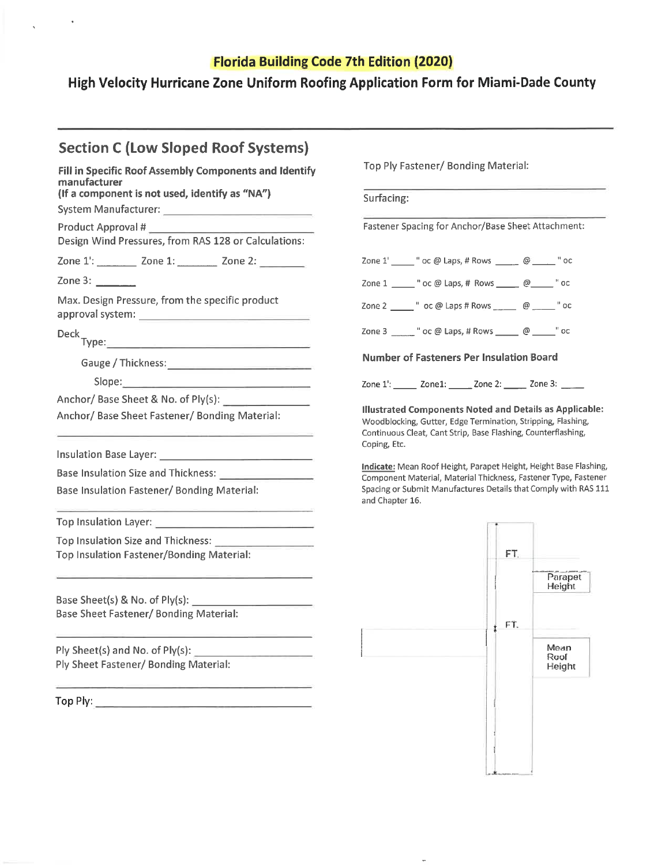High Velocity Hurricane Zone Uniform Roofing Application Form for Miami-Dade County

| <b>Section C (Low Sloped Roof Systems)</b>                                                         |                                                                                                                                                                                                                 |  |  |
|----------------------------------------------------------------------------------------------------|-----------------------------------------------------------------------------------------------------------------------------------------------------------------------------------------------------------------|--|--|
| Fill in Specific Roof Assembly Components and Identify<br>manufacturer                             | Top Ply Fastener/ Bonding Material:                                                                                                                                                                             |  |  |
| (If a component is not used, identify as "NA")                                                     | Surfacing:                                                                                                                                                                                                      |  |  |
| Design Wind Pressures, from RAS 128 or Calculations:                                               | Fastener Spacing for Anchor/Base Sheet Attachment:                                                                                                                                                              |  |  |
| Zone 1: ________ Zone 1: _________ Zone 2: _______                                                 | Zone 1' ______ " oc @ Laps, # Rows ______ @ ______ " oc                                                                                                                                                         |  |  |
|                                                                                                    | Zone 1 ______ " oc @ Laps, # Rows ______ @______ " oc                                                                                                                                                           |  |  |
| Max. Design Pressure, from the specific product                                                    | Zone 2 _______ " oc @ Laps # Rows ________ @ ______ " oc                                                                                                                                                        |  |  |
|                                                                                                    | Zone 3 ______ " oc @ Laps, # Rows ______ @ _____ " oc                                                                                                                                                           |  |  |
|                                                                                                    | <b>Number of Fasteners Per Insulation Board</b>                                                                                                                                                                 |  |  |
| Slope: North Commission (North Commission)                                                         | Zone 1: ______ Zone1: ______ Zone 2: ______ Zone 3: _____                                                                                                                                                       |  |  |
|                                                                                                    |                                                                                                                                                                                                                 |  |  |
| Anchor/ Base Sheet Fastener/ Bonding Material:                                                     | <b>Illustrated Components Noted and Details as Applicable:</b><br>Woodblocking, Gutter, Edge Termination, Stripping, Flashing,<br>Continuous Cleat, Cant Strip, Base Flashing, Counterflashing,<br>Coping, Etc. |  |  |
|                                                                                                    | Indicate: Mean Roof Height, Parapet Height, Height Base Flashing,                                                                                                                                               |  |  |
| Base Insulation Size and Thickness: New York Changes and Thickness:                                | Component Material, Material Thickness, Fastener Type, Fastener                                                                                                                                                 |  |  |
| Base Insulation Fastener/ Bonding Material:<br><u> 1980 - Jan Andrew Harry John H. Bland Brown</u> | Spacing or Submit Manufactures Details that Comply with RAS 111<br>and Chapter 16.                                                                                                                              |  |  |
|                                                                                                    |                                                                                                                                                                                                                 |  |  |
|                                                                                                    |                                                                                                                                                                                                                 |  |  |
| Top Insulation Fastener/Bonding Material:                                                          | FT.                                                                                                                                                                                                             |  |  |
|                                                                                                    | Parapet<br>Height                                                                                                                                                                                               |  |  |
| Base Sheet Fastener/Bonding Material:                                                              |                                                                                                                                                                                                                 |  |  |
|                                                                                                    | FT.                                                                                                                                                                                                             |  |  |
|                                                                                                    | Mean                                                                                                                                                                                                            |  |  |
| Ply Sheet Fastener/ Bonding Material:                                                              | Roof<br>Height                                                                                                                                                                                                  |  |  |
| Top Ply:                                                                                           |                                                                                                                                                                                                                 |  |  |
|                                                                                                    |                                                                                                                                                                                                                 |  |  |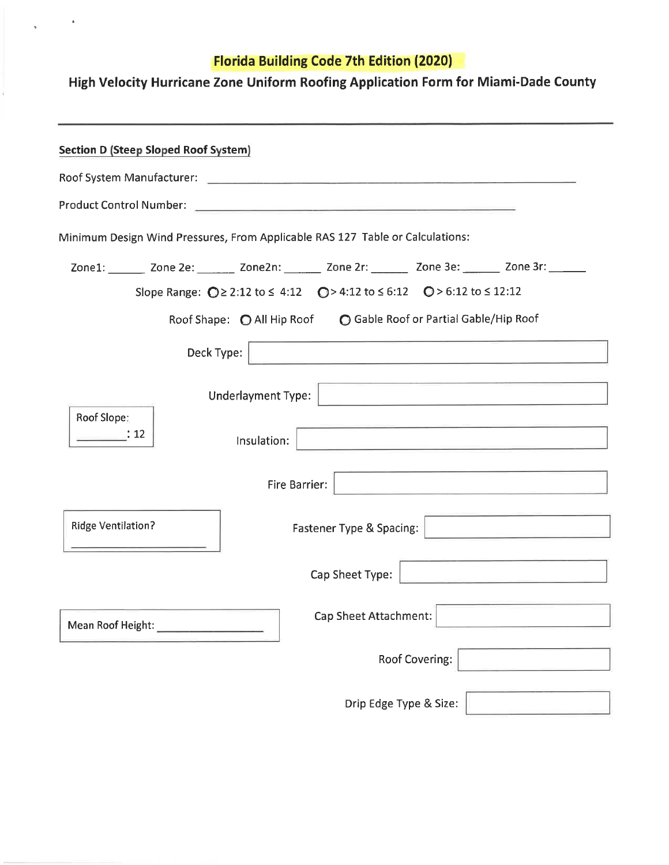# High Velocity Hurricane Zone Uniform Roofing Application Form for Miami-Dade County

| <b>Section D (Steep Sloped Roof System)</b> |            |                    |                                                                                                                                                                                                                                |                                                                                                                            |                                                                                                                                                                                                                                      |
|---------------------------------------------|------------|--------------------|--------------------------------------------------------------------------------------------------------------------------------------------------------------------------------------------------------------------------------|----------------------------------------------------------------------------------------------------------------------------|--------------------------------------------------------------------------------------------------------------------------------------------------------------------------------------------------------------------------------------|
|                                             |            |                    | Roof System Manufacturer: contact and the contact of the contact and the contact and the contact of the contact of the contact and the contact of the contact of the contact of the contact of the contact of the contact of t |                                                                                                                            |                                                                                                                                                                                                                                      |
|                                             |            |                    |                                                                                                                                                                                                                                |                                                                                                                            |                                                                                                                                                                                                                                      |
|                                             |            |                    | Minimum Design Wind Pressures, From Applicable RAS 127 Table or Calculations:                                                                                                                                                  |                                                                                                                            |                                                                                                                                                                                                                                      |
|                                             |            |                    | Zone1: _______ Zone 2e: _______ Zone2n: _______ Zone 2r: _______ Zone 3e: ______ Zone 3r: _______                                                                                                                              |                                                                                                                            |                                                                                                                                                                                                                                      |
|                                             |            |                    | Slope Range: $Q \ge 2:12$ to $\le 4:12$ $Q > 4:12$ to $\le 6:12$ $Q > 6:12$ to $\le 12:12$                                                                                                                                     |                                                                                                                            |                                                                                                                                                                                                                                      |
|                                             |            |                    | Roof Shape: O All Hip Roof C Gable Roof or Partial Gable/Hip Roof                                                                                                                                                              |                                                                                                                            |                                                                                                                                                                                                                                      |
|                                             | Deck Type: |                    | <u> 1989 - Johann Marie Barn, mars eta inperiodo</u>                                                                                                                                                                           |                                                                                                                            |                                                                                                                                                                                                                                      |
| Roof Slope:                                 |            | Underlayment Type: |                                                                                                                                                                                                                                | <u> Alexandro Alexandro Alexandro Alexandro Alexandro Alexandro Alexandro Alexandro Alexandro Alexandro Alexandro Alex</u> |                                                                                                                                                                                                                                      |
| $\therefore$ 12                             |            | Insulation:        |                                                                                                                                                                                                                                |                                                                                                                            | the control of the control of the control of the control of the control of the control of                                                                                                                                            |
|                                             |            | Fire Barrier:      |                                                                                                                                                                                                                                | <u> 1989 - Andrea Angel, Amerikaansk politik (</u>                                                                         |                                                                                                                                                                                                                                      |
| <b>Ridge Ventilation?</b>                   |            |                    | Fastener Type & Spacing:                                                                                                                                                                                                       |                                                                                                                            | <u> 1989 - Jan Stein Stein Stein Stein Stein Stein Stein Stein Stein Stein Stein Stein Stein Stein Stein Stein Stein Stein Stein Stein Stein Stein Stein Stein Stein Stein Stein Stein Stein Stein Stein Stein Stein Stein Stein</u> |
|                                             |            |                    | Cap Sheet Type:                                                                                                                                                                                                                |                                                                                                                            | the control of the state of the control of the control of the control of the control of the control of the control of the control of the control of the control of the control of the control of the control of the control of       |
|                                             |            |                    | Cap Sheet Attachment:                                                                                                                                                                                                          |                                                                                                                            |                                                                                                                                                                                                                                      |
|                                             |            |                    |                                                                                                                                                                                                                                | <b>Roof Covering:</b>                                                                                                      |                                                                                                                                                                                                                                      |
|                                             |            |                    | Drip Edge Type & Size:                                                                                                                                                                                                         |                                                                                                                            |                                                                                                                                                                                                                                      |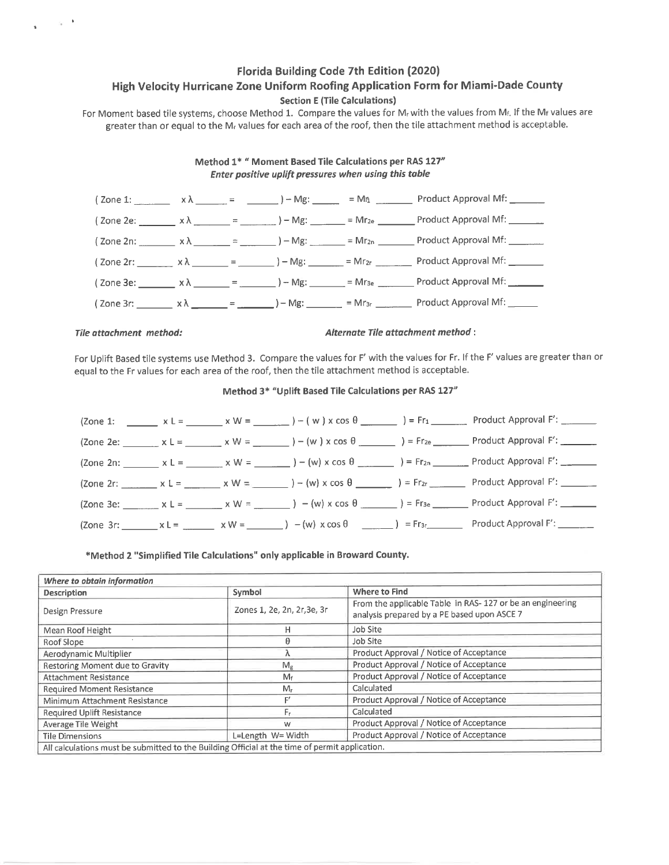#### Florida Building Code 7th Edition (2020) High Velocity Hurricane Zone Uniform Roofing Application Form for Miami-Dade County **Section E (Tile Calculations)**

For Moment based tile systems, choose Method 1. Compare the values for M<sub>r</sub> with the values from M<sub>f.</sub> If the M<sub>f</sub> values are greater than or equal to the M<sub>r</sub> values for each area of the roof, then the tile attachment method is acceptable.

#### Method 1\* " Moment Based Tile Calculations per RAS 127" Enter positive uplift pressures when using this table



#### Tile attachment method:

Alternate Tile attachment method :

For Uplift Based tile systems use Method 3. Compare the values for F' with the values for Fr. If the F' values are greater than or equal to the Fr values for each area of the roof, then the tile attachment method is acceptable.

#### Method 3\* "Uplift Based Tile Calculations per RAS 127"

|  |  |                                                                                                                                              | $(2 \text{one 1: } \_\_\_\_ x \perp = \_\_\_\_ x \vee = \_\_\_\_ x \vee = \_\_\_\_\_ ) - (w) \times \cos \theta \_\_\_\_\_\_ ) = Fr_1 \_\_\_\_\_ \$ Product Approval F': |
|--|--|----------------------------------------------------------------------------------------------------------------------------------------------|--------------------------------------------------------------------------------------------------------------------------------------------------------------------------|
|  |  | $(2$ one 2e: $x L = x W = x W = (w) x cos θ$ (2000) = Fr <sub>2e</sub>                                                                       | Product Approval F': _______                                                                                                                                             |
|  |  |                                                                                                                                              |                                                                                                                                                                          |
|  |  | (Zone 2r: ______ x L = _____ x W = _____ ) – (w) x cos θ ______ ) = Fr <sub>2r</sub> _____                                                   | Product Approval F': _______                                                                                                                                             |
|  |  | $(2 \text{one } 3 \text{e}:$ $x \text{ } k =$ $x \text{ } W =$ $x \text{ } W =$ $($ w $) \times \text{cos } \theta$ $($                      | Product Approval F': _______                                                                                                                                             |
|  |  | $(2 \text{one } 3r:$ $x \perp =$ $x \vee y =$ $x \vee y =$ $(x \vee y) = (w) \times \cos \theta$ $(2 \text{one } 3r:$ $x \perp y) = Fr_{3r}$ | Product Approval F':                                                                                                                                                     |

#### \*Method 2 "Simplified Tile Calculations" only applicable in Broward County.

| Symbol                      | Where to Find                                                                                            |
|-----------------------------|----------------------------------------------------------------------------------------------------------|
| Zones 1, 2e, 2n, 2r, 3e, 3r | From the applicable Table in RAS-127 or be an engineering<br>analysis prepared by a PE based upon ASCE 7 |
| н                           | Job Site                                                                                                 |
|                             | Job Site                                                                                                 |
|                             | Product Approval / Notice of Acceptance                                                                  |
| $M_{\sigma}$                | Product Approval / Notice of Acceptance                                                                  |
| M£                          | Product Approval / Notice of Acceptance                                                                  |
| $M_r$                       | Calculated                                                                                               |
|                             | Product Approval / Notice of Acceptance                                                                  |
| l۳۳                         | Calculated                                                                                               |
| w                           | Product Approval / Notice of Acceptance                                                                  |
| L=Length W= Width           | Product Approval / Notice of Acceptance                                                                  |
|                             |                                                                                                          |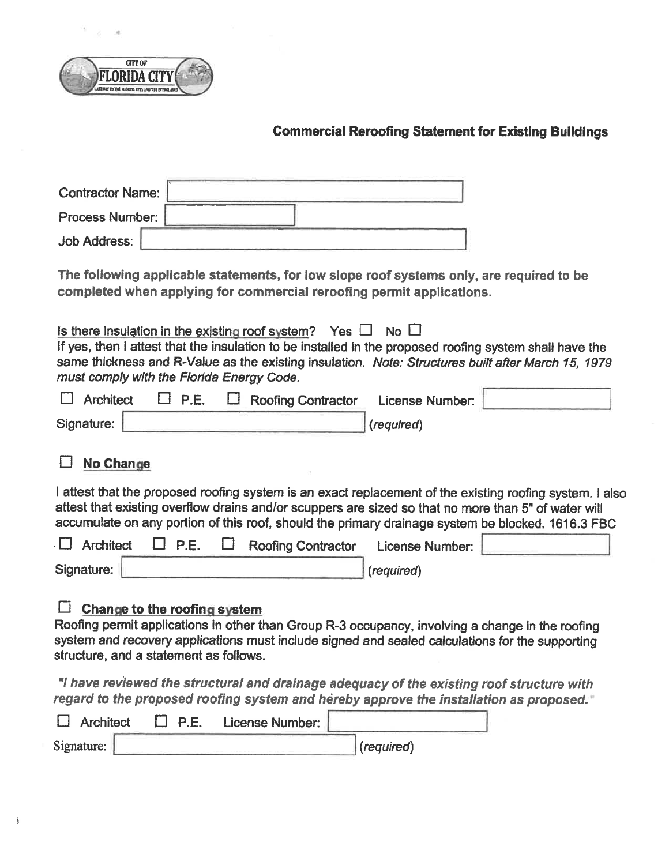

 $\epsilon$ 

 $\sim$ 

# **Commercial Reroofing Statement for Existing Buildings**

| <b>Contractor Name:</b>                                                                                                                                                                                                                                                                                                             |
|-------------------------------------------------------------------------------------------------------------------------------------------------------------------------------------------------------------------------------------------------------------------------------------------------------------------------------------|
| <b>Process Number:</b>                                                                                                                                                                                                                                                                                                              |
| <b>Job Address:</b>                                                                                                                                                                                                                                                                                                                 |
| The following applicable statements, for low slope roof systems only, are required to be<br>completed when applying for commercial reroofing permit applications.                                                                                                                                                                   |
| Is there insulation in the existing roof system? Yes $\Box$ No $\Box$<br>If yes, then I attest that the insulation to be installed in the proposed roofing system shall have the<br>same thickness and R-Value as the existing insulation. Note: Structures built after March 15, 1979<br>must comply with the Florida Energy Code. |
| <b>Architect</b><br>P.E.<br>$\mathsf{L}$<br><b>Roofing Contractor</b><br>License Number:                                                                                                                                                                                                                                            |
| Signature:<br>(required)                                                                                                                                                                                                                                                                                                            |
| <b>No Change</b>                                                                                                                                                                                                                                                                                                                    |
| I attest that the proposed roofing system is an exact replacement of the existing roofing system. I also<br>attest that existing overflow drains and/or scuppers are sized so that no more than 5" of water will<br>accumulate on any portion of this roof, should the primary drainage system be blocked. 1616.3 FBC               |
| <b>Architect</b><br>$\square$ P.E.<br><b>Roofing Contractor</b><br><b>License Number:</b>                                                                                                                                                                                                                                           |
| Signature:<br>(required)                                                                                                                                                                                                                                                                                                            |
| Change to the roofing system<br>Roofing permit applications in other than Group R-3 occupancy, involving a change in the roofing<br>system and recovery applications must include signed and sealed calculations for the supporting<br>structure, and a statement as follows.                                                       |
| "I have reviewed the structural and drainage adequacy of the existing roof structure with<br>regard to the proposed roofing system and hereby approve the installation as proposed."                                                                                                                                                |
| <b>Architect</b><br><b>P.E.</b><br>License Number:                                                                                                                                                                                                                                                                                  |
| Signature:<br>(required)                                                                                                                                                                                                                                                                                                            |